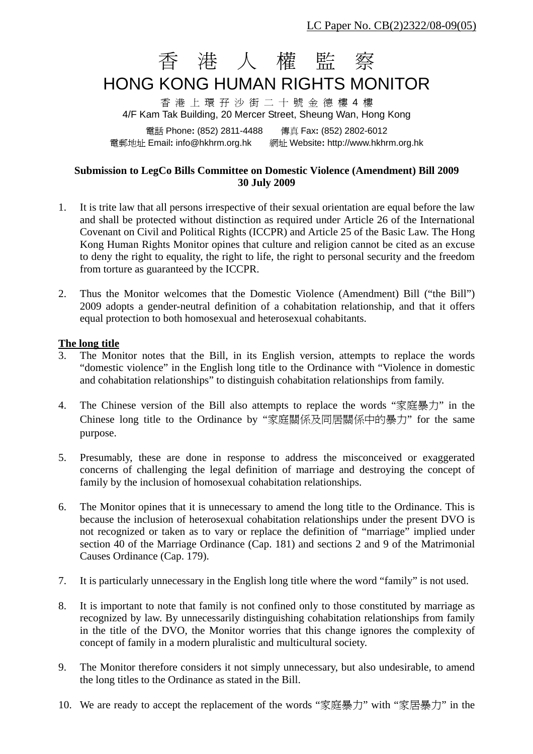# 香 港 人 權 監 察

## HONG KONG HUMAN RIGHTS MONITOR

香 港 上 環 孖 沙 街 二 十 號 金 德 樓 4 樓 4/F Kam Tak Building, 20 Mercer Street, Sheung Wan, Hong Kong

電話 Phone**:** (852) 2811-4488 傳真 Fax**:** (852) 2802-6012 電郵地址 Email**:** info@hkhrm.org.hk 網址 Website**:** http://www.hkhrm.org.hk

#### **Submission to LegCo Bills Committee on Domestic Violence (Amendment) Bill 2009 30 July 2009**

- 1. It is trite law that all persons irrespective of their sexual orientation are equal before the law and shall be protected without distinction as required under Article 26 of the International Covenant on Civil and Political Rights (ICCPR) and Article 25 of the Basic Law. The Hong Kong Human Rights Monitor opines that culture and religion cannot be cited as an excuse to deny the right to equality, the right to life, the right to personal security and the freedom from torture as guaranteed by the ICCPR.
- 2. Thus the Monitor welcomes that the Domestic Violence (Amendment) Bill ("the Bill") 2009 adopts a gender-neutral definition of a cohabitation relationship, and that it offers equal protection to both homosexual and heterosexual cohabitants.

#### **The long title**

- 3. The Monitor notes that the Bill, in its English version, attempts to replace the words "domestic violence" in the English long title to the Ordinance with "Violence in domestic and cohabitation relationships" to distinguish cohabitation relationships from family.
- 4. The Chinese version of the Bill also attempts to replace the words "家庭暴力" in the Chinese long title to the Ordinance by "家庭關係及同居關係中的暴力" for the same purpose.
- 5. Presumably, these are done in response to address the misconceived or exaggerated concerns of challenging the legal definition of marriage and destroying the concept of family by the inclusion of homosexual cohabitation relationships.
- 6. The Monitor opines that it is unnecessary to amend the long title to the Ordinance. This is because the inclusion of heterosexual cohabitation relationships under the present DVO is not recognized or taken as to vary or replace the definition of "marriage" implied under section 40 of the Marriage Ordinance (Cap. 181) and sections 2 and 9 of the Matrimonial Causes Ordinance (Cap. 179).
- 7. It is particularly unnecessary in the English long title where the word "family" is not used.
- 8. It is important to note that family is not confined only to those constituted by marriage as recognized by law. By unnecessarily distinguishing cohabitation relationships from family in the title of the DVO, the Monitor worries that this change ignores the complexity of concept of family in a modern pluralistic and multicultural society.
- 9. The Monitor therefore considers it not simply unnecessary, but also undesirable, to amend the long titles to the Ordinance as stated in the Bill.
- 10. We are ready to accept the replacement of the words "家庭暴力" with "家居暴力" in the